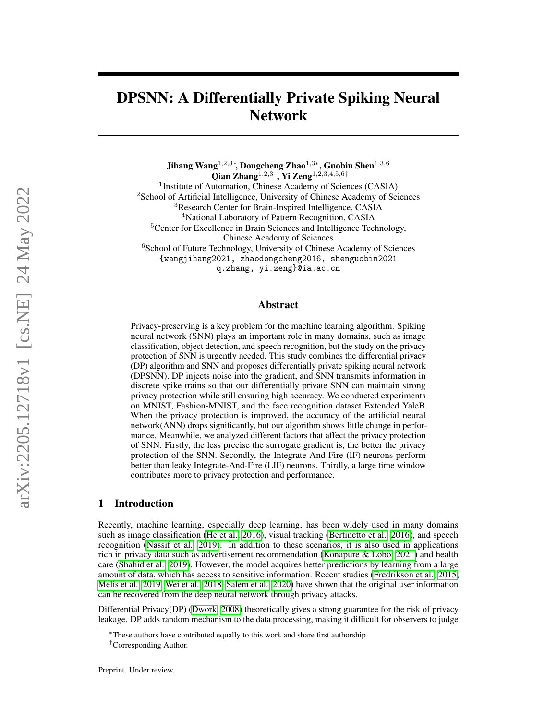# DPSNN: A Differentially Private Spiking Neural Network

Jihang Wang $^{1,2,3*}$ , Dongcheng Zhao $^{1,3*}$ , Guobin Shen $^{1,3,6}$ Qian Zhang $1,2,3^{\dagger}$ , Yi Zeng $1,2,3,4,5,6^{\dagger}$ <sup>1</sup> Institute of Automation, Chinese Academy of Sciences (CASIA) <sup>2</sup>School of Artificial Intelligence, University of Chinese Academy of Sciences <sup>3</sup>Research Center for Brain-Inspired Intelligence, CASIA <sup>4</sup>National Laboratory of Pattern Recognition, CASIA <sup>5</sup>Center for Excellence in Brain Sciences and Intelligence Technology, Chinese Academy of Sciences <sup>6</sup>School of Future Technology, University of Chinese Academy of Sciences {wangjihang2021, zhaodongcheng2016, shenguobin2021 q.zhang, yi.zeng}@ia.ac.cn

# Abstract

Privacy-preserving is a key problem for the machine learning algorithm. Spiking neural network (SNN) plays an important role in many domains, such as image classification, object detection, and speech recognition, but the study on the privacy protection of SNN is urgently needed. This study combines the differential privacy (DP) algorithm and SNN and proposes differentially private spiking neural network (DPSNN). DP injects noise into the gradient, and SNN transmits information in discrete spike trains so that our differentially private SNN can maintain strong privacy protection while still ensuring high accuracy. We conducted experiments on MNIST, Fashion-MNIST, and the face recognition dataset Extended YaleB. When the privacy protection is improved, the accuracy of the artificial neural network(ANN) drops significantly, but our algorithm shows little change in performance. Meanwhile, we analyzed different factors that affect the privacy protection of SNN. Firstly, the less precise the surrogate gradient is, the better the privacy protection of the SNN. Secondly, the Integrate-And-Fire (IF) neurons perform better than leaky Integrate-And-Fire (LIF) neurons. Thirdly, a large time window contributes more to privacy protection and performance.

#### 1 Introduction

Recently, machine learning, especially deep learning, has been widely used in many domains such as image classification [\(He et al., 2016\)](#page-9-0), visual tracking [\(Bertinetto et al., 2016\)](#page-9-1), and speech recognition [\(Nassif et al., 2019\)](#page-10-0). In addition to these scenarios, it is also used in applications rich in privacy data such as advertisement recommendation [\(Konapure & Lobo, 2021\)](#page-10-1) and health care [\(Shahid et al., 2019\)](#page-10-2). However, the model acquires better predictions by learning from a large amount of data, which has access to sensitive information. Recent studies [\(Fredrikson et al., 2015;](#page-9-2) [Melis et al., 2019;](#page-10-3) [Wei et al., 2018;](#page-10-4) [Salem et al., 2020\)](#page-10-5) have shown that the original user information can be recovered from the deep neural network through privacy attacks.

Differential Privacy(DP) [\(Dwork, 2008\)](#page-9-3) theoretically gives a strong guarantee for the risk of privacy leakage. DP adds random mechanism to the data processing, making it difficult for observers to judge

<sup>∗</sup>These authors have contributed equally to this work and share first authorship

<sup>†</sup>Corresponding Author.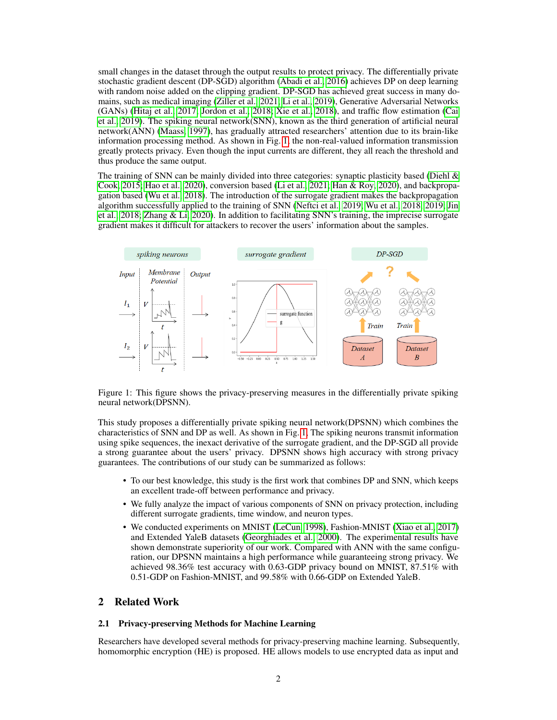small changes in the dataset through the output results to protect privacy. The differentially private stochastic gradient descent (DP-SGD) algorithm [\(Abadi et al., 2016\)](#page-9-4) achieves DP on deep learning with random noise added on the clipping gradient. DP-SGD has achieved great success in many domains, such as medical imaging [\(Ziller et al., 2021;](#page-11-0) [Li et al., 2019\)](#page-10-6), Generative Adversarial Networks (GANs) [\(Hitaj et al., 2017;](#page-10-7) [Jordon et al., 2018;](#page-10-8) [Xie et al., 2018\)](#page-11-1), and traffic flow estimation [\(Cai](#page-9-5) [et al., 2019\)](#page-9-5). The spiking neural network(SNN), known as the third generation of artificial neural network(ANN) [\(Maass, 1997\)](#page-10-9), has gradually attracted researchers' attention due to its brain-like information processing method. As shown in Fig. [1,](#page-1-0) the non-real-valued information transmission greatly protects privacy. Even though the input currents are different, they all reach the threshold and thus produce the same output.

The training of SNN can be mainly divided into three categories: synaptic plasticity based (Diehl  $\&$ [Cook, 2015;](#page-9-6) [Hao et al., 2020\)](#page-9-7), conversion based [\(Li et al., 2021;](#page-10-10) [Han & Roy, 2020\)](#page-9-8), and backpropagation based [\(Wu et al., 2018\)](#page-11-2). The introduction of the surrogate gradient makes the backpropagation algorithm successfully applied to the training of SNN [\(Neftci et al., 2019;](#page-10-11) [Wu et al., 2018,](#page-11-2) [2019;](#page-11-3) [Jin](#page-10-12) [et al., 2018;](#page-10-12) [Zhang & Li, 2020\)](#page-11-4). In addition to facilitating SNN's training, the imprecise surrogate gradient makes it difficult for attackers to recover the users' information about the samples.



<span id="page-1-0"></span>Figure 1: This figure shows the privacy-preserving measures in the differentially private spiking neural network(DPSNN).

This study proposes a differentially private spiking neural network(DPSNN) which combines the characteristics of SNN and DP as well. As shown in Fig. [1,](#page-1-0) The spiking neurons transmit information using spike sequences, the inexact derivative of the surrogate gradient, and the DP-SGD all provide a strong guarantee about the users' privacy. DPSNN shows high accuracy with strong privacy guarantees. The contributions of our study can be summarized as follows:

- To our best knowledge, this study is the first work that combines DP and SNN, which keeps an excellent trade-off between performance and privacy.
- We fully analyze the impact of various components of SNN on privacy protection, including different surrogate gradients, time window, and neuron types.
- We conducted experiments on MNIST [\(LeCun, 1998\)](#page-10-13), Fashion-MNIST [\(Xiao et al., 2017\)](#page-11-5) and Extended YaleB datasets [\(Georghiades et al., 2000\)](#page-9-9). The experimental results have shown demonstrate superiority of our work. Compared with ANN with the same configuration, our DPSNN maintains a high performance while guaranteeing strong privacy. We achieved 98.36% test accuracy with 0.63-GDP privacy bound on MNIST, 87.51% with 0.51-GDP on Fashion-MNIST, and 99.58% with 0.66-GDP on Extended YaleB.

# 2 Related Work

#### 2.1 Privacy-preserving Methods for Machine Learning

Researchers have developed several methods for privacy-preserving machine learning. Subsequently, homomorphic encryption (HE) is proposed. HE allows models to use encrypted data as input and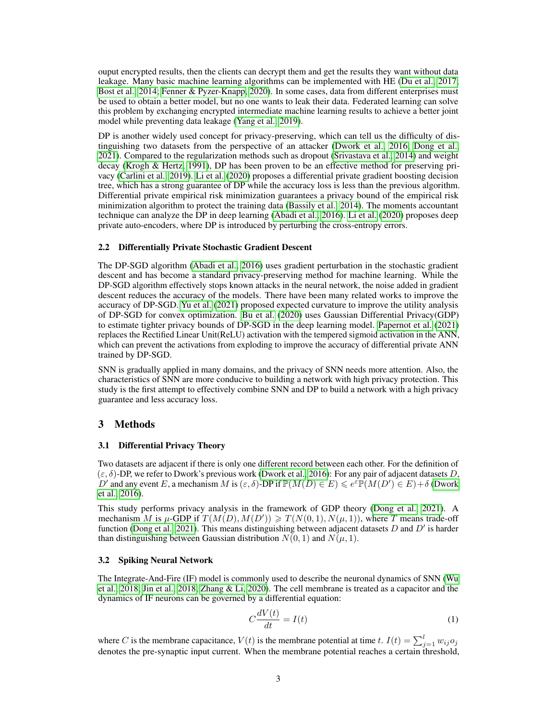ouput encrypted results, then the clients can decrypt them and get the results they want without data leakage. Many basic machine learning algorithms can be implemented with HE [\(Du et al., 2017;](#page-9-10) [Bost et al., 2014;](#page-9-11) [Fenner & Pyzer-Knapp, 2020\)](#page-9-12). In some cases, data from different enterprises must be used to obtain a better model, but no one wants to leak their data. Federated learning can solve this problem by exchanging encrypted intermediate machine learning results to achieve a better joint model while preventing data leakage [\(Yang et al., 2019\)](#page-11-6).

DP is another widely used concept for privacy-preserving, which can tell us the difficulty of distinguishing two datasets from the perspective of an attacker [\(Dwork et al., 2016;](#page-9-13) [Dong et al.,](#page-9-14) [2021\)](#page-9-14). Compared to the regularization methods such as dropout [\(Srivastava et al., 2014\)](#page-10-14) and weight decay [\(Krogh & Hertz, 1991\)](#page-10-15), DP has been proven to be an effective method for preserving privacy [\(Carlini et al., 2019\)](#page-9-15). [Li et al.](#page-10-16) [\(2020\)](#page-10-16) proposes a differential private gradient boosting decision tree, which has a strong guarantee of DP while the accuracy loss is less than the previous algorithm. Differential private empirical risk minimization guarantees a privacy bound of the empirical risk minimization algorithm to protect the training data [\(Bassily et al., 2014\)](#page-9-16). The moments accountant technique can analyze the DP in deep learning [\(Abadi et al., 2016\)](#page-9-4). [Li et al.](#page-10-16) [\(2020\)](#page-10-16) proposes deep private auto-encoders, where DP is introduced by perturbing the cross-entropy errors.

#### 2.2 Differentially Private Stochastic Gradient Descent

The DP-SGD algorithm [\(Abadi et al., 2016\)](#page-9-4) uses gradient perturbation in the stochastic gradient descent and has become a standard privacy-preserving method for machine learning. While the DP-SGD algorithm effectively stops known attacks in the neural network, the noise added in gradient descent reduces the accuracy of the models. There have been many related works to improve the accuracy of DP-SGD. [Yu et al.](#page-11-7) [\(2021\)](#page-11-7) proposed expected curvature to improve the utility analysis of DP-SGD for convex optimization. [Bu et al.](#page-9-17) [\(2020\)](#page-9-17) uses Gaussian Differential Privacy(GDP) to estimate tighter privacy bounds of DP-SGD in the deep learning model. [Papernot et al.](#page-10-17) [\(2021\)](#page-10-17) replaces the Rectified Linear Unit(ReLU) activation with the tempered sigmoid activation in the ANN, which can prevent the activations from exploding to improve the accuracy of differential private ANN trained by DP-SGD.

SNN is gradually applied in many domains, and the privacy of SNN needs more attention. Also, the characteristics of SNN are more conducive to building a network with high privacy protection. This study is the first attempt to effectively combine SNN and DP to build a network with a high privacy guarantee and less accuracy loss.

## 3 Methods

#### 3.1 Differential Privacy Theory

Two datasets are adjacent if there is only one different record between each other. For the definition of  $(\varepsilon, \delta)$ -DP, we refer to Dwork's previous work [\(Dwork et al., 2016\)](#page-9-13): For any pair of adjacent datasets D, D' and any event E, a mechanism M is  $(\varepsilon, \delta)$ -DP if  $\mathbb{P}(M(D) \in E) \leq e^{\varepsilon} \mathbb{P}(M(D') \in E) + \delta$  [\(Dwork](#page-9-13) [et al., 2016\)](#page-9-13).

This study performs privacy analysis in the framework of GDP theory [\(Dong et al., 2021\)](#page-9-14). A mechanism M is  $\mu$ -GDP if  $T(M(D), M(D')) \geq T(N(0, 1), N(\mu, 1))$ , where T means trade-off function [\(Dong et al., 2021\)](#page-9-14). This means distinguishing between adjacent datasets D and  $D'$  is harder than distinguishing between Gaussian distribution  $N(0, 1)$  and  $N(\mu, 1)$ .

## 3.2 Spiking Neural Network

The Integrate-And-Fire (IF) model is commonly used to describe the neuronal dynamics of SNN [\(Wu](#page-11-2) [et al., 2018;](#page-11-2) [Jin et al., 2018;](#page-10-12) [Zhang & Li, 2020\)](#page-11-4). The cell membrane is treated as a capacitor and the dynamics of IF neurons can be governed by a differential equation:

<span id="page-2-0"></span>
$$
C\frac{dV(t)}{dt} = I(t) \tag{1}
$$

where C is the membrane capacitance,  $V(t)$  is the membrane potential at time t.  $I(t) = \sum_{j=1}^{l} w_{ij} o_j$ denotes the pre-synaptic input current. When the membrane potential reaches a certain threshold,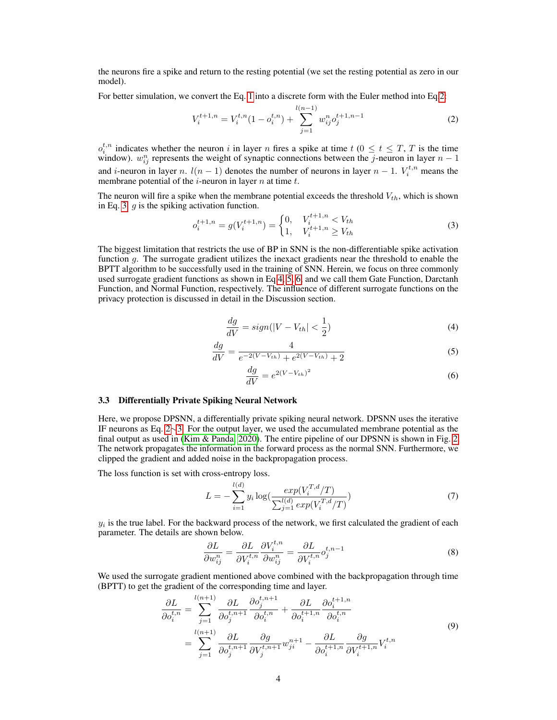the neurons fire a spike and return to the resting potential (we set the resting potential as zero in our model).

For better simulation, we convert the Eq. [1](#page-2-0) into a discrete form with the Euler method into Eq[.2:](#page-3-0)

<span id="page-3-0"></span>
$$
V_i^{t+1,n} = V_i^{t,n} (1 - o_i^{t,n}) + \sum_{j=1}^{l(n-1)} w_{ij}^n o_j^{t+1,n-1}
$$
 (2)

 $o_i^{t,n}$  indicates whether the neuron i in layer n fires a spike at time  $t$  ( $0 \le t \le T$ , T is the time window).  $w_{ij}^n$  represents the weight of synaptic connections between the j-neuron in layer  $n-1$ and *i*-neuron in layer n.  $l(n-1)$  denotes the number of neurons in layer  $n-1$ .  $V_i^{t,n}$  means the membrane potential of the  $i$ -neuron in layer  $n$  at time  $t$ .

The neuron will fire a spike when the membrane potential exceeds the threshold  $V_{th}$ , which is shown in Eq. [3.](#page-3-1)  $q$  is the spiking activation function.

<span id="page-3-1"></span>
$$
o_i^{t+1,n} = g(V_i^{t+1,n}) = \begin{cases} 0, & V_i^{t+1,n} < V_{th} \\ 1, & V_i^{t+1,n} \ge V_{th} \end{cases} \tag{3}
$$

<span id="page-3-2"></span>The biggest limitation that restricts the use of BP in SNN is the non-differentiable spike activation function g. The surrogate gradient utilizes the inexact gradients near the threshold to enable the BPTT algorithm to be successfully used in the training of SNN. Herein, we focus on three commonly used surrogate gradient functions as shown in Eq[.4,](#page-3-2) [5,](#page-3-3) [6,](#page-3-4) and we call them Gate Function, Darctanh Function, and Normal Function, respectively. The influence of different surrogate functions on the privacy protection is discussed in detail in the Discussion section.

$$
\frac{dg}{dV} = sign(|V - V_{th}| < \frac{1}{2})\tag{4}
$$

$$
\frac{dg}{dV} = \frac{4}{e^{-2(V - V_{th})} + e^{2(V - V_{th})} + 2}
$$
\n(5)

$$
\frac{dg}{dV} = e^{2(V - V_{th})^2} \tag{6}
$$

#### <span id="page-3-4"></span><span id="page-3-3"></span>3.3 Differentially Private Spiking Neural Network

Here, we propose DPSNN, a differentially private spiking neural network. DPSNN uses the iterative IF neurons as Eq. [2](#page-3-0)∼[3.](#page-3-1) For the output layer, we used the accumulated membrane potential as the final output as used in [\(Kim & Panda, 2020\)](#page-10-18). The entire pipeline of our DPSNN is shown in Fig. [2.](#page-4-0) The network propagates the information in the forward process as the normal SNN. Furthermore, we clipped the gradient and added noise in the backpropagation process.

The loss function is set with cross-entropy loss.

$$
L = -\sum_{i=1}^{l(d)} y_i \log\left(\frac{exp(V_i^{T,d}/T)}{\sum_{j=1}^{l(d)} exp(V_i^{T,d}/T)}\right)
$$
(7)

 $y_i$  is the true label. For the backward process of the network, we first calculated the gradient of each parameter. The details are shown below.

$$
\frac{\partial L}{\partial w_{ij}^n} = \frac{\partial L}{\partial V_i^{t,n}} \frac{\partial V_i^{t,n}}{\partial w_{ij}^n} = \frac{\partial L}{\partial V_i^{t,n}} o_j^{t,n-1}
$$
\n(8)

We used the surrogate gradient mentioned above combined with the backpropagation through time (BPTT) to get the gradient of the corresponding time and layer.

$$
\frac{\partial L}{\partial o_i^{t,n}} = \sum_{j=1}^{l(n+1)} \frac{\partial L}{\partial o_j^{t,n+1}} \frac{\partial o_j^{t,n+1}}{\partial o_i^{t,n}} + \frac{\partial L}{\partial o_i^{t+1,n}} \frac{\partial o_i^{t+1,n}}{\partial o_i^{t,n}} \n= \sum_{j=1}^{l(n+1)} \frac{\partial L}{\partial o_j^{t,n+1}} \frac{\partial g}{\partial V_j^{t,n+1}} w_{ji}^{n+1} - \frac{\partial L}{\partial o_i^{t+1,n}} \frac{\partial g}{\partial V_i^{t+1,n}} V_i^{t,n}
$$
\n(9)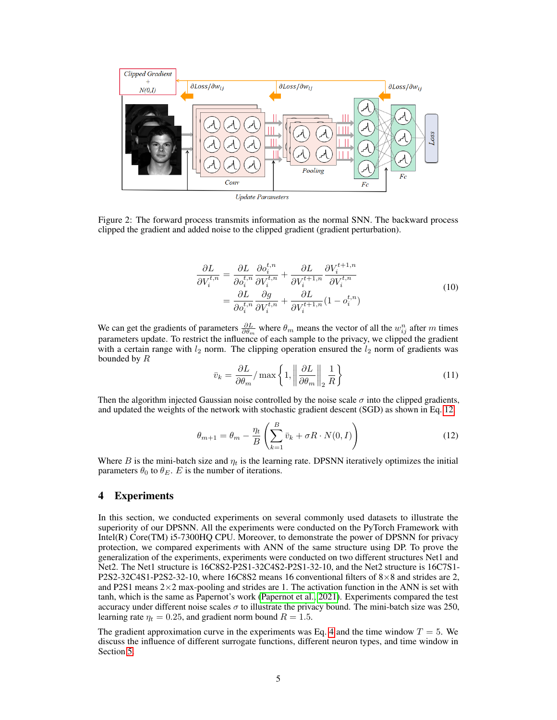

<span id="page-4-0"></span>Figure 2: The forward process transmits information as the normal SNN. The backward process clipped the gradient and added noise to the clipped gradient (gradient perturbation).

$$
\frac{\partial L}{\partial V_i^{t,n}} = \frac{\partial L}{\partial o_i^{t,n}} \frac{\partial o_i^{t,n}}{\partial V_i^{t,n}} + \frac{\partial L}{\partial V_i^{t+1,n}} \frac{\partial V_i^{t+1,n}}{\partial V_i^{t,n}} \n= \frac{\partial L}{\partial o_i^{t,n}} \frac{\partial g}{\partial V_i^{t,n}} + \frac{\partial L}{\partial V_i^{t+1,n}} (1 - o_i^{t,n})
$$
\n(10)

We can get the gradients of parameters  $\frac{\partial L}{\partial \theta_m}$  where  $\theta_m$  means the vector of all the  $w_{ij}^n$  after m times parameters update. To restrict the influence of each sample to the privacy, we clipped the gradient with a certain range with  $l_2$  norm. The clipping operation ensured the  $l_2$  norm of gradients was bounded by  $R$ 

<span id="page-4-1"></span>
$$
\bar{v}_k = \frac{\partial L}{\partial \theta_m} / \max\left\{1, \left\|\frac{\partial L}{\partial \theta_m}\right\|_2 \frac{1}{R}\right\} \tag{11}
$$

Then the algorithm injected Gaussian noise controlled by the noise scale  $\sigma$  into the clipped gradients, and updated the weights of the network with stochastic gradient descent (SGD) as shown in Eq. [12.](#page-4-1)

$$
\theta_{m+1} = \theta_m - \frac{\eta_t}{B} \left( \sum_{k=1}^B \bar{v}_k + \sigma R \cdot N(0, I) \right)
$$
 (12)

Where B is the mini-batch size and  $\eta_t$  is the learning rate. DPSNN iteratively optimizes the initial parameters  $\theta_0$  to  $\theta_E$ . E is the number of iterations.

## 4 Experiments

In this section, we conducted experiments on several commonly used datasets to illustrate the superiority of our DPSNN. All the experiments were conducted on the PyTorch Framework with Intel(R) Core(TM) i5-7300HQ CPU. Moreover, to demonstrate the power of DPSNN for privacy protection, we compared experiments with ANN of the same structure using DP. To prove the generalization of the experiments, experiments were conducted on two different structures Net1 and Net2. The Net1 structure is 16C8S2-P2S1-32C4S2-P2S1-32-10, and the Net2 structure is 16C7S1- P2S2-32C4S1-P2S2-32-10, where 16C8S2 means 16 conventional filters of  $8 \times 8$  and strides are 2, and P2S1 means  $2\times2$  max-pooling and strides are 1. The activation function in the ANN is set with tanh, which is the same as Papernot's work [\(Papernot et al., 2021\)](#page-10-17). Experiments compared the test accuracy under different noise scales  $\sigma$  to illustrate the privacy bound. The mini-batch size was 250, learning rate  $\eta_t = 0.25$ , and gradient norm bound  $R = 1.5$ .

The gradient approximation curve in the experiments was Eq. [4](#page-3-2) and the time window  $T = 5$ . We discuss the influence of different surrogate functions, different neuron types, and time window in Section [5.](#page-7-0)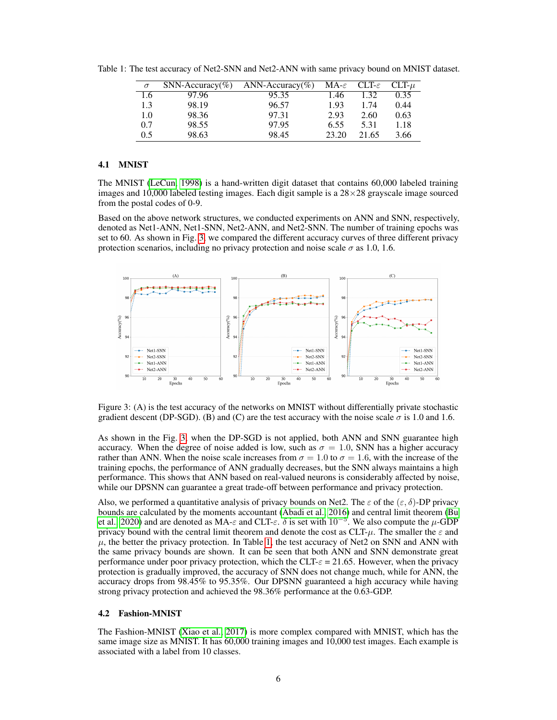<span id="page-5-1"></span>

| $\sigma$ | $SNN$ -Accuracy(%) | ANN-Accuracy(%) | $MA-\varepsilon$ | $CLT-\varepsilon$ | $CLT-\mu$ |
|----------|--------------------|-----------------|------------------|-------------------|-----------|
| 1.6      | 97.96              | 95.35           | 1.46             | 1.32              | 0.35      |
| 1.3      | 98.19              | 96.57           | 1.93             | 1.74              | 0.44      |
| 1.0      | 98.36              | 97.31           | 2.93             | 2.60              | 0.63      |
| 0.7      | 98.55              | 97.95           | 6.55             | 5.31              | 1.18      |
| 0.5      | 98.63              | 98.45           | 23.20            | 21.65             | 3.66      |

Table 1: The test accuracy of Net2-SNN and Net2-ANN with same privacy bound on MNIST dataset.

# 4.1 MNIST

The MNIST [\(LeCun, 1998\)](#page-10-13) is a hand-written digit dataset that contains 60,000 labeled training images and 10,000 labeled testing images. Each digit sample is a  $28 \times 28$  grayscale image sourced from the postal codes of 0-9.

Based on the above network structures, we conducted experiments on ANN and SNN, respectively, denoted as Net1-ANN, Net1-SNN, Net2-ANN, and Net2-SNN. The number of training epochs was set to 60. As shown in Fig. [3,](#page-5-0) we compared the different accuracy curves of three different privacy protection scenarios, including no privacy protection and noise scale  $\sigma$  as 1.0, 1.6.



<span id="page-5-0"></span>Figure 3: (A) is the test accuracy of the networks on MNIST without differentially private stochastic gradient descent (DP-SGD). (B) and (C) are the test accuracy with the noise scale  $\sigma$  is 1.0 and 1.6.

As shown in the Fig. [3,](#page-5-0) when the DP-SGD is not applied, both ANN and SNN guarantee high accuracy. When the degree of noise added is low, such as  $\sigma = 1.0$ , SNN has a higher accuracy rather than ANN. When the noise scale increases from  $\sigma = 1.0$  to  $\sigma = 1.6$ , with the increase of the training epochs, the performance of ANN gradually decreases, but the SNN always maintains a high performance. This shows that ANN based on real-valued neurons is considerably affected by noise, while our DPSNN can guarantee a great trade-off between performance and privacy protection.

Also, we performed a quantitative analysis of privacy bounds on Net2. The  $\varepsilon$  of the  $(\varepsilon, \delta)$ -DP privacy bounds are calculated by the moments accountant [\(Abadi et al., 2016\)](#page-9-4) and central limit theorem [\(Bu](#page-9-17) [et al., 2020\)](#page-9-17) and are denoted as MA- $\varepsilon$  and CLT- $\varepsilon$ .  $\delta$  is set with  $10^{-5}$ . We also compute the  $\mu$ -GDP privacy bound with the central limit theorem and denote the cost as  $CLT-\mu$ . The smaller the  $\varepsilon$  and  $\mu$ , the better the privacy protection. In Table [1,](#page-5-1) the test accuracy of Net2 on SNN and ANN with the same privacy bounds are shown. It can be seen that both ANN and SNN demonstrate great performance under poor privacy protection, which the CLT- $\varepsilon$  = 21.65. However, when the privacy protection is gradually improved, the accuracy of SNN does not change much, while for ANN, the accuracy drops from 98.45% to 95.35%. Our DPSNN guaranteed a high accuracy while having strong privacy protection and achieved the 98.36% performance at the 0.63-GDP.

#### 4.2 Fashion-MNIST

The Fashion-MNIST [\(Xiao et al., 2017\)](#page-11-5) is more complex compared with MNIST, which has the same image size as MNIST. It has 60,000 training images and 10,000 test images. Each example is associated with a label from 10 classes.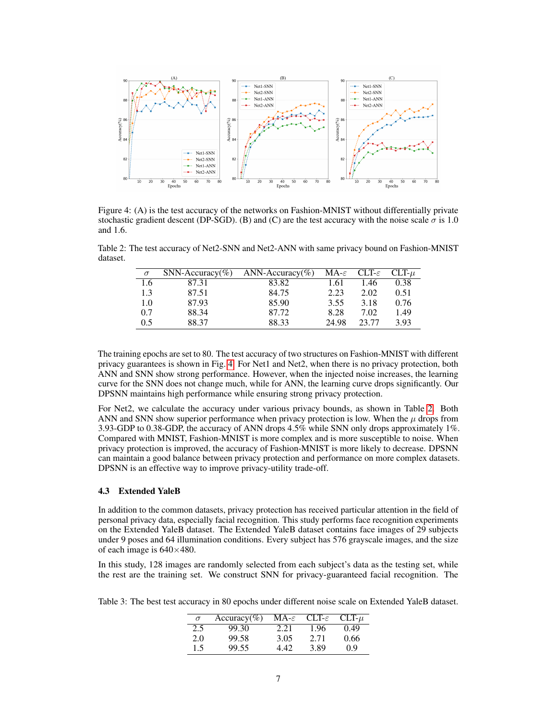

<span id="page-6-0"></span>Figure 4: (A) is the test accuracy of the networks on Fashion-MNIST without differentially private stochastic gradient descent (DP-SGD). (B) and (C) are the test accuracy with the noise scale  $\sigma$  is 1.0 and 1.6.

Table 2: The test accuracy of Net2-SNN and Net2-ANN with same privacy bound on Fashion-MNIST dataset.

<span id="page-6-1"></span>

| $\sigma$ | $SNN$ -Accuracy(%) | ANN-Accuracy(%) | $MA-\varepsilon$ | $CLT-\varepsilon$ | $CLT-\mu$ |
|----------|--------------------|-----------------|------------------|-------------------|-----------|
| 1.6      | 87.31              | 83.82           | 1.61             | 1.46              | 0.38      |
| 1.3      | 87.51              | 84.75           | 2.23             | 2.02              | 0.51      |
| 1.0      | 87.93              | 85.90           | 3.55             | 3.18              | 0.76      |
| 0.7      | 88.34              | 87.72           | 8.28             | 7.02              | 1.49      |
| 0.5      | 88.37              | 88.33           | 24.98            | 23.77             | 3.93      |

The training epochs are set to 80. The test accuracy of two structures on Fashion-MNIST with different privacy guarantees is shown in Fig. [4.](#page-6-0) For Net1 and Net2, when there is no privacy protection, both ANN and SNN show strong performance. However, when the injected noise increases, the learning curve for the SNN does not change much, while for ANN, the learning curve drops significantly. Our DPSNN maintains high performance while ensuring strong privacy protection.

For Net2, we calculate the accuracy under various privacy bounds, as shown in Table [2.](#page-6-1) Both ANN and SNN show superior performance when privacy protection is low. When the  $\mu$  drops from 3.93-GDP to 0.38-GDP, the accuracy of ANN drops 4.5% while SNN only drops approximately 1%. Compared with MNIST, Fashion-MNIST is more complex and is more susceptible to noise. When privacy protection is improved, the accuracy of Fashion-MNIST is more likely to decrease. DPSNN can maintain a good balance between privacy protection and performance on more complex datasets. DPSNN is an effective way to improve privacy-utility trade-off.

## 4.3 Extended YaleB

In addition to the common datasets, privacy protection has received particular attention in the field of personal privacy data, especially facial recognition. This study performs face recognition experiments on the Extended YaleB dataset. The Extended YaleB dataset contains face images of 29 subjects under 9 poses and 64 illumination conditions. Every subject has 576 grayscale images, and the size of each image is  $640\times480$ .

In this study, 128 images are randomly selected from each subject's data as the testing set, while the rest are the training set. We construct SNN for privacy-guaranteed facial recognition. The

<span id="page-6-2"></span>Table 3: The best test accuracy in 80 epochs under different noise scale on Extended YaleB dataset.

| $\sigma$ | $Accuracy(\%)$ | $MA-\varepsilon$ | $CLT-\varepsilon$ | $CLT-u$ |
|----------|----------------|------------------|-------------------|---------|
| 2.5      | 99.30          | 2.21             | 1.96              | 0.49    |
| 2.0      | 99.58          | 3.05             | 2.71              | 0.66    |
| 1.5      | 99.55          | 442              | 3.89              | 0.9     |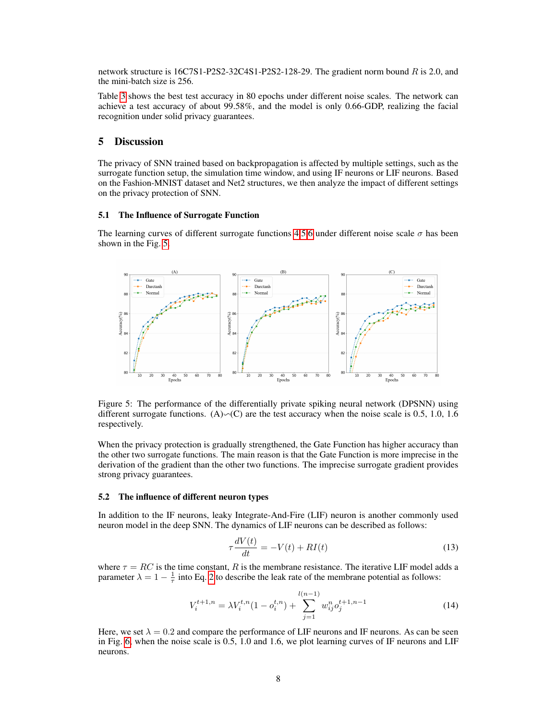network structure is 16C7S1-P2S2-32C4S1-P2S2-128-29. The gradient norm bound R is 2.0, and the mini-batch size is 256.

Table [3](#page-6-2) shows the best test accuracy in 80 epochs under different noise scales. The network can achieve a test accuracy of about 99.58%, and the model is only 0.66-GDP, realizing the facial recognition under solid privacy guarantees.

## <span id="page-7-0"></span>5 Discussion

The privacy of SNN trained based on backpropagation is affected by multiple settings, such as the surrogate function setup, the simulation time window, and using IF neurons or LIF neurons. Based on the Fashion-MNIST dataset and Net2 structures, we then analyze the impact of different settings on the privacy protection of SNN.

#### 5.1 The Influence of Surrogate Function

The learning curves of different surrogate functions [4,](#page-3-2)[5](#page-3-3)[,6](#page-3-4) under different noise scale  $\sigma$  has been shown in the Fig. [5.](#page-7-1)



<span id="page-7-1"></span>Figure 5: The performance of the differentially private spiking neural network (DPSNN) using different surrogate functions. (A) $\sim$ (C) are the test accuracy when the noise scale is 0.5, 1.0, 1.6 respectively.

When the privacy protection is gradually strengthened, the Gate Function has higher accuracy than the other two surrogate functions. The main reason is that the Gate Function is more imprecise in the derivation of the gradient than the other two functions. The imprecise surrogate gradient provides strong privacy guarantees.

#### 5.2 The influence of different neuron types

In addition to the IF neurons, leaky Integrate-And-Fire (LIF) neuron is another commonly used neuron model in the deep SNN. The dynamics of LIF neurons can be described as follows:

$$
\tau \frac{dV(t)}{dt} = -V(t) + RI(t) \tag{13}
$$

where  $\tau = RC$  is the time constant, R is the membrane resistance. The iterative LIF model adds a parameter  $\lambda = 1 - \frac{1}{\tau}$  into Eq. [2](#page-3-0) to describe the leak rate of the membrane potential as follows:

$$
V_i^{t+1,n} = \lambda V_i^{t,n} (1 - o_i^{t,n}) + \sum_{j=1}^{l(n-1)} w_{ij}^n o_j^{t+1,n-1}
$$
 (14)

Here, we set  $\lambda = 0.2$  and compare the performance of LIF neurons and IF neurons. As can be seen in Fig. [6,](#page-8-0) when the noise scale is 0.5, 1.0 and 1.6, we plot learning curves of IF neurons and LIF neurons.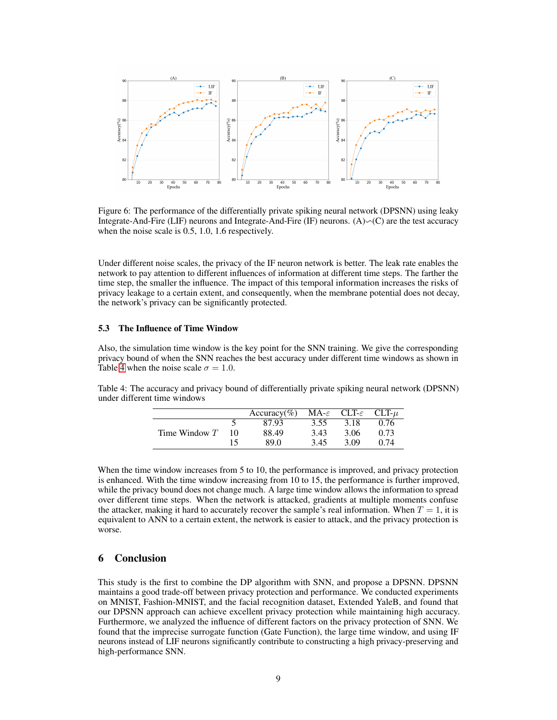

<span id="page-8-0"></span>Figure 6: The performance of the differentially private spiking neural network (DPSNN) using leaky Integrate-And-Fire (LIF) neurons and Integrate-And-Fire (IF) neurons.  $(A) \sim (C)$  are the test accuracy when the noise scale is 0.5, 1.0, 1.6 respectively.

Under different noise scales, the privacy of the IF neuron network is better. The leak rate enables the network to pay attention to different influences of information at different time steps. The farther the time step, the smaller the influence. The impact of this temporal information increases the risks of privacy leakage to a certain extent, and consequently, when the membrane potential does not decay, the network's privacy can be significantly protected.

# 5.3 The Influence of Time Window

Also, the simulation time window is the key point for the SNN training. We give the corresponding privacy bound of when the SNN reaches the best accuracy under different time windows as shown in Table [4](#page-8-1) when the noise scale  $\sigma = 1.0$ .

<span id="page-8-1"></span>Table 4: The accuracy and privacy bound of differentially private spiking neural network (DPSNN) under different time windows

|                 |    | Accuracy(%) MA- $\varepsilon$ CLT- $\varepsilon$ CLT- $\mu$ |      |      |      |
|-----------------|----|-------------------------------------------------------------|------|------|------|
|                 |    | 87.93                                                       | 3.55 | 3.18 | 0.76 |
| Time Window $T$ | 10 | 88.49                                                       | 3.43 | 3.06 | 0.73 |
|                 |    | 89 O                                                        | 3.45 | 3.09 | O 74 |

When the time window increases from 5 to 10, the performance is improved, and privacy protection is enhanced. With the time window increasing from 10 to 15, the performance is further improved, while the privacy bound does not change much. A large time window allows the information to spread over different time steps. When the network is attacked, gradients at multiple moments confuse the attacker, making it hard to accurately recover the sample's real information. When  $T = 1$ , it is equivalent to ANN to a certain extent, the network is easier to attack, and the privacy protection is worse.

# 6 Conclusion

This study is the first to combine the DP algorithm with SNN, and propose a DPSNN. DPSNN maintains a good trade-off between privacy protection and performance. We conducted experiments on MNIST, Fashion-MNIST, and the facial recognition dataset, Extended YaleB, and found that our DPSNN approach can achieve excellent privacy protection while maintaining high accuracy. Furthermore, we analyzed the influence of different factors on the privacy protection of SNN. We found that the imprecise surrogate function (Gate Function), the large time window, and using IF neurons instead of LIF neurons significantly contribute to constructing a high privacy-preserving and high-performance SNN.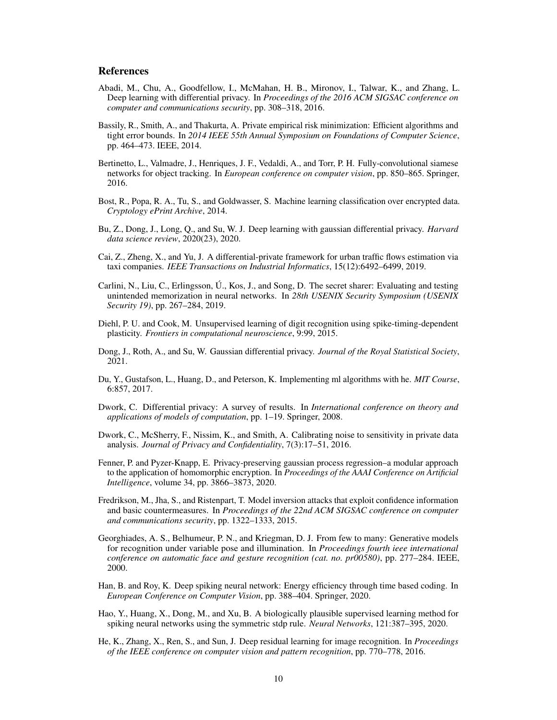# References

- <span id="page-9-4"></span>Abadi, M., Chu, A., Goodfellow, I., McMahan, H. B., Mironov, I., Talwar, K., and Zhang, L. Deep learning with differential privacy. In *Proceedings of the 2016 ACM SIGSAC conference on computer and communications security*, pp. 308–318, 2016.
- <span id="page-9-16"></span>Bassily, R., Smith, A., and Thakurta, A. Private empirical risk minimization: Efficient algorithms and tight error bounds. In *2014 IEEE 55th Annual Symposium on Foundations of Computer Science*, pp. 464–473. IEEE, 2014.
- <span id="page-9-1"></span>Bertinetto, L., Valmadre, J., Henriques, J. F., Vedaldi, A., and Torr, P. H. Fully-convolutional siamese networks for object tracking. In *European conference on computer vision*, pp. 850–865. Springer, 2016.
- <span id="page-9-11"></span>Bost, R., Popa, R. A., Tu, S., and Goldwasser, S. Machine learning classification over encrypted data. *Cryptology ePrint Archive*, 2014.
- <span id="page-9-17"></span>Bu, Z., Dong, J., Long, Q., and Su, W. J. Deep learning with gaussian differential privacy. *Harvard data science review*, 2020(23), 2020.
- <span id="page-9-5"></span>Cai, Z., Zheng, X., and Yu, J. A differential-private framework for urban traffic flows estimation via taxi companies. *IEEE Transactions on Industrial Informatics*, 15(12):6492–6499, 2019.
- <span id="page-9-15"></span>Carlini, N., Liu, C., Erlingsson, Ú., Kos, J., and Song, D. The secret sharer: Evaluating and testing unintended memorization in neural networks. In *28th USENIX Security Symposium (USENIX Security 19)*, pp. 267–284, 2019.
- <span id="page-9-6"></span>Diehl, P. U. and Cook, M. Unsupervised learning of digit recognition using spike-timing-dependent plasticity. *Frontiers in computational neuroscience*, 9:99, 2015.
- <span id="page-9-14"></span>Dong, J., Roth, A., and Su, W. Gaussian differential privacy. *Journal of the Royal Statistical Society*, 2021.
- <span id="page-9-10"></span>Du, Y., Gustafson, L., Huang, D., and Peterson, K. Implementing ml algorithms with he. *MIT Course*, 6:857, 2017.
- <span id="page-9-3"></span>Dwork, C. Differential privacy: A survey of results. In *International conference on theory and applications of models of computation*, pp. 1–19. Springer, 2008.
- <span id="page-9-13"></span>Dwork, C., McSherry, F., Nissim, K., and Smith, A. Calibrating noise to sensitivity in private data analysis. *Journal of Privacy and Confidentiality*, 7(3):17–51, 2016.
- <span id="page-9-12"></span>Fenner, P. and Pyzer-Knapp, E. Privacy-preserving gaussian process regression–a modular approach to the application of homomorphic encryption. In *Proceedings of the AAAI Conference on Artificial Intelligence*, volume 34, pp. 3866–3873, 2020.
- <span id="page-9-2"></span>Fredrikson, M., Jha, S., and Ristenpart, T. Model inversion attacks that exploit confidence information and basic countermeasures. In *Proceedings of the 22nd ACM SIGSAC conference on computer and communications security*, pp. 1322–1333, 2015.
- <span id="page-9-9"></span>Georghiades, A. S., Belhumeur, P. N., and Kriegman, D. J. From few to many: Generative models for recognition under variable pose and illumination. In *Proceedings fourth ieee international conference on automatic face and gesture recognition (cat. no. pr00580)*, pp. 277–284. IEEE, 2000.
- <span id="page-9-8"></span>Han, B. and Roy, K. Deep spiking neural network: Energy efficiency through time based coding. In *European Conference on Computer Vision*, pp. 388–404. Springer, 2020.
- <span id="page-9-7"></span>Hao, Y., Huang, X., Dong, M., and Xu, B. A biologically plausible supervised learning method for spiking neural networks using the symmetric stdp rule. *Neural Networks*, 121:387–395, 2020.
- <span id="page-9-0"></span>He, K., Zhang, X., Ren, S., and Sun, J. Deep residual learning for image recognition. In *Proceedings of the IEEE conference on computer vision and pattern recognition*, pp. 770–778, 2016.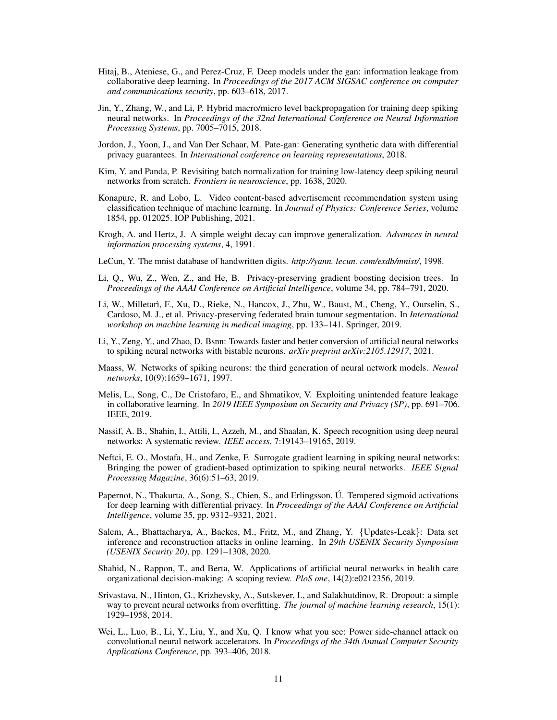- <span id="page-10-7"></span>Hitaj, B., Ateniese, G., and Perez-Cruz, F. Deep models under the gan: information leakage from collaborative deep learning. In *Proceedings of the 2017 ACM SIGSAC conference on computer and communications security*, pp. 603–618, 2017.
- <span id="page-10-12"></span>Jin, Y., Zhang, W., and Li, P. Hybrid macro/micro level backpropagation for training deep spiking neural networks. In *Proceedings of the 32nd International Conference on Neural Information Processing Systems*, pp. 7005–7015, 2018.
- <span id="page-10-8"></span>Jordon, J., Yoon, J., and Van Der Schaar, M. Pate-gan: Generating synthetic data with differential privacy guarantees. In *International conference on learning representations*, 2018.
- <span id="page-10-18"></span>Kim, Y. and Panda, P. Revisiting batch normalization for training low-latency deep spiking neural networks from scratch. *Frontiers in neuroscience*, pp. 1638, 2020.
- <span id="page-10-1"></span>Konapure, R. and Lobo, L. Video content-based advertisement recommendation system using classification technique of machine learning. In *Journal of Physics: Conference Series*, volume 1854, pp. 012025. IOP Publishing, 2021.
- <span id="page-10-15"></span>Krogh, A. and Hertz, J. A simple weight decay can improve generalization. *Advances in neural information processing systems*, 4, 1991.
- <span id="page-10-13"></span>LeCun, Y. The mnist database of handwritten digits. *http://yann. lecun. com/exdb/mnist/*, 1998.
- <span id="page-10-16"></span>Li, Q., Wu, Z., Wen, Z., and He, B. Privacy-preserving gradient boosting decision trees. In *Proceedings of the AAAI Conference on Artificial Intelligence*, volume 34, pp. 784–791, 2020.
- <span id="page-10-6"></span>Li, W., Milletarì, F., Xu, D., Rieke, N., Hancox, J., Zhu, W., Baust, M., Cheng, Y., Ourselin, S., Cardoso, M. J., et al. Privacy-preserving federated brain tumour segmentation. In *International workshop on machine learning in medical imaging*, pp. 133–141. Springer, 2019.
- <span id="page-10-10"></span>Li, Y., Zeng, Y., and Zhao, D. Bsnn: Towards faster and better conversion of artificial neural networks to spiking neural networks with bistable neurons. *arXiv preprint arXiv:2105.12917*, 2021.
- <span id="page-10-9"></span>Maass, W. Networks of spiking neurons: the third generation of neural network models. *Neural networks*, 10(9):1659–1671, 1997.
- <span id="page-10-3"></span>Melis, L., Song, C., De Cristofaro, E., and Shmatikov, V. Exploiting unintended feature leakage in collaborative learning. In *2019 IEEE Symposium on Security and Privacy (SP)*, pp. 691–706. IEEE, 2019.
- <span id="page-10-0"></span>Nassif, A. B., Shahin, I., Attili, I., Azzeh, M., and Shaalan, K. Speech recognition using deep neural networks: A systematic review. *IEEE access*, 7:19143–19165, 2019.
- <span id="page-10-11"></span>Neftci, E. O., Mostafa, H., and Zenke, F. Surrogate gradient learning in spiking neural networks: Bringing the power of gradient-based optimization to spiking neural networks. *IEEE Signal Processing Magazine*, 36(6):51–63, 2019.
- <span id="page-10-17"></span>Papernot, N., Thakurta, A., Song, S., Chien, S., and Erlingsson, Ú. Tempered sigmoid activations for deep learning with differential privacy. In *Proceedings of the AAAI Conference on Artificial Intelligence*, volume 35, pp. 9312–9321, 2021.
- <span id="page-10-5"></span>Salem, A., Bhattacharya, A., Backes, M., Fritz, M., and Zhang, Y. {Updates-Leak}: Data set inference and reconstruction attacks in online learning. In *29th USENIX Security Symposium (USENIX Security 20)*, pp. 1291–1308, 2020.
- <span id="page-10-2"></span>Shahid, N., Rappon, T., and Berta, W. Applications of artificial neural networks in health care organizational decision-making: A scoping review. *PloS one*, 14(2):e0212356, 2019.
- <span id="page-10-14"></span>Srivastava, N., Hinton, G., Krizhevsky, A., Sutskever, I., and Salakhutdinov, R. Dropout: a simple way to prevent neural networks from overfitting. *The journal of machine learning research*, 15(1): 1929–1958, 2014.
- <span id="page-10-4"></span>Wei, L., Luo, B., Li, Y., Liu, Y., and Xu, Q. I know what you see: Power side-channel attack on convolutional neural network accelerators. In *Proceedings of the 34th Annual Computer Security Applications Conference*, pp. 393–406, 2018.